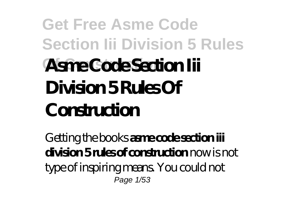# **Get Free Asme Code Section Iii Division 5 Rules Of Construction Asme Code Section Iii Division 5 Rules Of Construction**

Getting the books **asme code section iii division 5 rules of construction** now is not type of inspiring means. You could not Page 1/53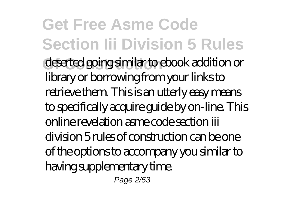**Get Free Asme Code Section Iii Division 5 Rules** deserted going similar to ebook addition or library or borrowing from your links to retrieve them. This is an utterly easy means to specifically acquire guide by on-line. This online revelation asme code section iii division 5 rules of construction can be one of the options to accompany you similar to having supplementary time. Page 2/53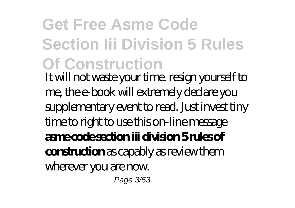## **Get Free Asme Code Section Iii Division 5 Rules Of Construction**

It will not waste your time. resign yourself to me, the e-book will extremely declare you supplementary event to read. Just invest tiny time to right to use this on-line message **asme code section iii division 5 rules of construction** as capably as review them wherever you are now. Page 3/53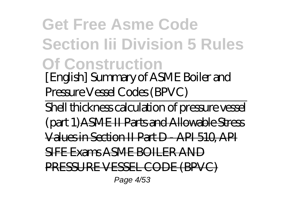**Get Free Asme Code Section Iii Division 5 Rules Of Construction** *[English] Summary of ASME Boiler and Pressure Vessel Codes (BPVC)*

Shell thickness calculation of pressure vessel (part 1)ASME II Parts and Allowable Stress Values in Section II Part D - API 510, API SIFE Exams ASME BOILER AND PRESSURE VESSEL CODE (BPVC)

Page 4/53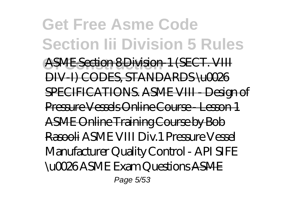**Get Free Asme Code Section Iii Division 5 Rules ASME Section 8 Division-1 (SECT. VIII** DIV-I) CODES, STANDARDS \u0026 SPECIFICATIONS. ASME VIII - Design of Pressure Vessels Online Course - Lesson 1 ASME Online Training Course by Bob Rasooli *ASME VIII Div.1 Pressure Vessel Manufacturer Quality Control - API SIFE \u0026 ASME Exam Questions* ASME Page 5/53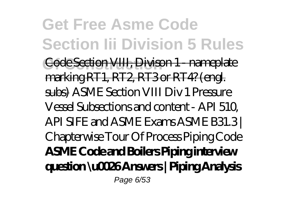#### **Get Free Asme Code Section Iii Division 5 Rules Code Section VIII, Divison 1 - nameplate** marking RT1, RT2, RT3 or RT4? (engl. subs) ASME Section VIII Div 1 Pressure Vessel Subsections and content - API 510, API SIFE and ASME Exams ASME B31.3 | Chapterwise Tour Of Process Piping Code **ASME Code and Boilers Piping interview question \u0026 Answers | Piping Analysis** Page 6/53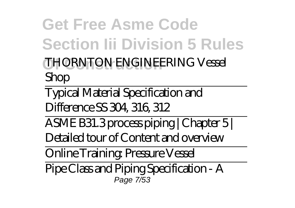**Get Free Asme Code Section Iii Division 5 Rules**

**Of Construction** *THORNTON ENGINEERING Vessel Shop*

Typical Material Specification and Difference SS 304, 316, 312

ASME B31.3 process piping | Chapter 5 |

Detailed tour of Content and overview

Online Training: Pressure Vessel

Pipe Class and Piping Specification - A Page 7/53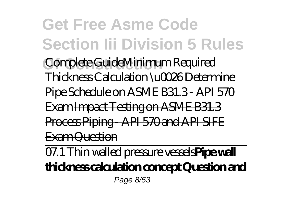**Get Free Asme Code Section Iii Division 5 Rules Of Construction** Complete Guide*Minimum Required Thickness Calculation \u0026 Determine Pipe Schedule on ASME B31.3 - API 570 Exam* Impact Testing on ASME B31.3 Process Piping API 570 and API SIFE

Exam Question

07.1 Thin walled pressure vessels**Pipe wall thickness calculation concept Question and** Page 8/53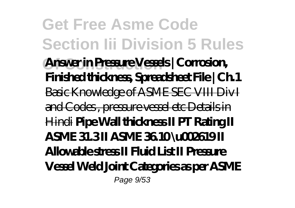**Get Free Asme Code Section Iii Division 5 Rules Of Construction Answer in Pressure Vessels | Corrosion, Finished thickness, Spreadsheet File | Ch.1** Basic Knowledge of ASME SEC VIII Div I and Codes , pressure vessel etc Details in Hindi **Pipe Wall thickness II PT Rating II ASME 31.3 II ASME 36.10 \u002619 II Allowable stress II Fluid List II Pressure Vessel Weld Joint Categories as per ASME** Page 9/53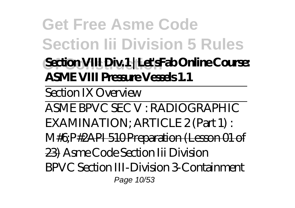**Get Free Asme Code Section Iii Division 5 Rules**

**Of Construction Section VIII Div.1 | Let'sFab Online Course: ASME VIII Pressure Vessels 1.1**

Section IX Overview

ASME BPVC SEC V : RADIOGRAPHIC EXAMINATION; ARTICLE 2 (Part 1) :

M#6;P#2API 510 Preparation (Lesson 01 of

23) *Asme Code Section Iii Division*

BPVC Section III-Division 3-Containment

Page 10/53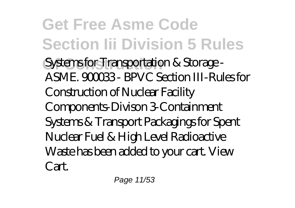**Get Free Asme Code Section Iii Division 5 Rules** Systems for Transportation & Storage -ASME. 900033 - BPVC Section III-Rules for Construction of Nuclear Facility Components-Divison 3-Containment Systems & Transport Packagings for Spent Nuclear Fuel & High Level Radioactive Waste has been added to your cart. View Cart.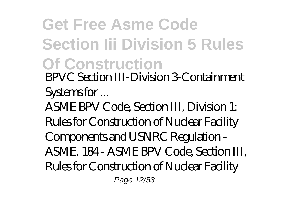**Get Free Asme Code Section Iii Division 5 Rules Of Construction** *BPVC Section III-Division 3-Containment Systems for ...* ASME BPV Code, Section III, Division 1: Rules for Construction of Nuclear Facility Components and USNRC Regulation - ASME. 184 - ASME BPV Code, Section III, Rules for Construction of Nuclear Facility

Page 12/53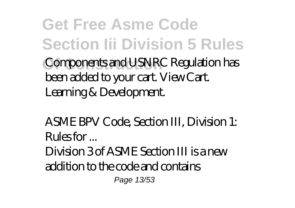**Get Free Asme Code Section Iii Division 5 Rules Of Construction** Components and USNRC Regulation has been added to your cart. View Cart. Learning & Development.

*ASME BPV Code, Section III, Division 1: Rules for ...*

Division 3 of ASME Section III is a new addition to the code and contains Page 13/53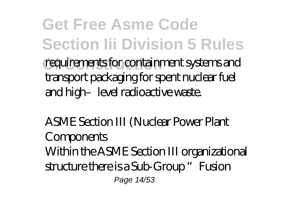**Get Free Asme Code Section Iii Division 5 Rules** requirements for containment systems and transport packaging for spent nuclear fuel and high–level radioactive waste.

*ASME Section III (Nuclear Power Plant Components* Within the ASME Section III organizational structure there is a Sub-Group "Fusion Page 14/53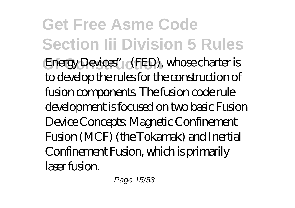**Get Free Asme Code Section Iii Division 5 Rules** Energy Devices" (FED), whose charter is to develop the rules for the construction of fusion components. The fusion code rule development is focused on two basic Fusion Device Concepts: Magnetic Confinement Fusion (MCF) (the Tokamak) and Inertial Confinement Fusion, which is primarily laser fusion.

Page 15/53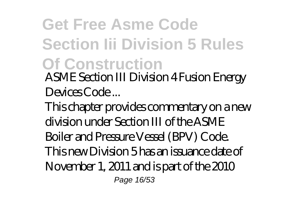### **Get Free Asme Code Section Iii Division 5 Rules Of Construction** *ASME Section III Division 4 Fusion Energy Devices Code ...*

This chapter provides commentary on a new division under Section III of the ASME Boiler and Pressure Vessel (BPV) Code. This new Division 5 has an issuance date of November 1, 2011 and is part of the 2010 Page 16/53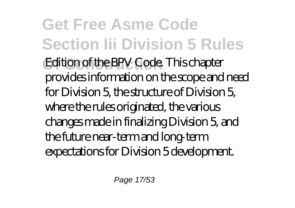### **Get Free Asme Code Section Iii Division 5 Rules** Edition of the BPV Code. This chapter provides information on the scope and need for Division 5, the structure of Division 5, where the rules originated, the various changes made in finalizing Division 5, and the future near-term and long-term expectations for Division 5 development.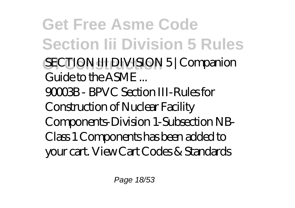**Get Free Asme Code Section Iii Division 5 Rules**

- **Of Construction** *SECTION III DIVISION 5 | Companion Guide to the ASME ...*
- 90003B BPVC Section III-Rules for
- Construction of Nuclear Facility
- Components-Division 1-Subsection NB-Class 1 Components has been added to
- your cart. View Cart Codes & Standards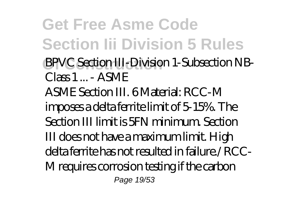**Get Free Asme Code Section Iii Division 5 Rules Of Construction** *BPVC Section III-Division 1-Subsection NB-Class 1 ... - ASME* ASME Section III. 6 Material: RCC-M imposes a delta ferrite limit of 5-15%. The Section III limit is 5FN minimum. Section III does not have a maximum limit. High

delta ferrite has not resulted in failure./ RCC-

M requires corrosion testing if the carbon

Page 19/53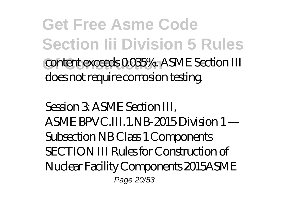**Get Free Asme Code Section Iii Division 5 Rules Of Construction** content exceeds 0.035%. ASME Section III does not require corrosion testing.

*Session 3: ASME Section III,* ASME BPVC.III.1.NB-2015 Division 1 — Subsection NB Class 1 Components SECTION III Rules for Construction of Nuclear Facility Components 2015ASME Page 20/53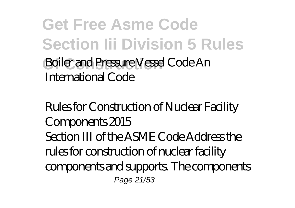**Get Free Asme Code Section Iii Division 5 Rules Boiler and Pressure Vessel Code An** International Code

*Rules for Construction of Nuclear Facility Components 2015* Section III of the ASME Code Address the rules for construction of nuclear facility components and supports. The components Page 21/53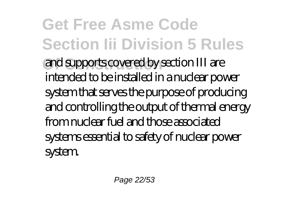**Get Free Asme Code Section Iii Division 5 Rules** and supports covered by section III are intended to be installed in a nuclear power system that serves the purpose of producing and controlling the output of thermal energy from nuclear fuel and those associated systems essential to safety of nuclear power system.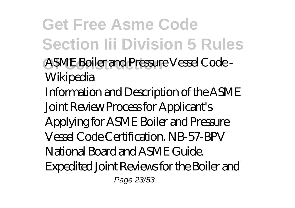**Get Free Asme Code Section Iii Division 5 Rules Of Construction** *ASME Boiler and Pressure Vessel Code - Wikipedia* Information and Description of the ASME Joint Review Process for Applicant's Applying for ASME Boiler and Pressure Vessel Code Certification. NB-57-BPV National Board and ASME Guide. Expedited Joint Reviews for the Boiler and Page 23/53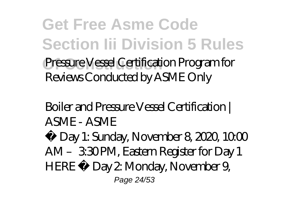**Get Free Asme Code Section Iii Division 5 Rules** Pressure Vessel Certification Program for Reviews Conducted by ASME Only

*Boiler and Pressure Vessel Certification | ASME - ASME*

• Day 1: Sunday, November  $8,2020,1000$ AM – 3:30 PM, Eastern Register for Day 1 HERE • Day 2: Monday, November 9, Page 24/53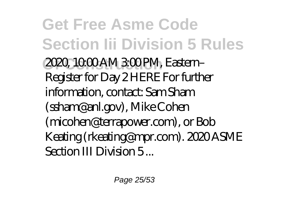**Get Free Asme Code Section Iii Division 5 Rules Of Construction** 2020, 10:00 AM 3:00 PM, Eastern– Register for Day 2 HERE For further information, contact: Sam Sham (ssham@anl.gov), Mike Cohen (micohen@terrapower.com), or Bob Keating (rkeating@mpr.com). 2020 ASME Section III Division 5...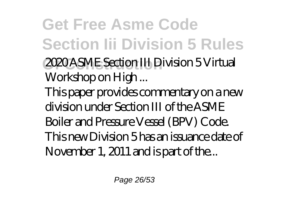**Get Free Asme Code Section Iii Division 5 Rules**

- **Of Construction** *2020 ASME Section III Division 5 Virtual Workshop on High ...*
- This paper provides commentary on a new division under Section III of the ASME Boiler and Pressure Vessel (BPV) Code. This new Division 5 has an issuance date of November 1, 2011 and is part of the...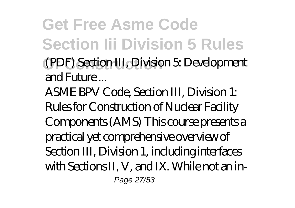**Get Free Asme Code Section Iii Division 5 Rules**

- **Of Construction** *(PDF) Section III, Division 5: Development and Future ...*
- ASME BPV Code, Section III, Division 1: Rules for Construction of Nuclear Facility Components (AMS) This course presents a practical yet comprehensive overview of Section III, Division 1, including interfaces with Sections II, V, and IX. While not an in-Page 27/53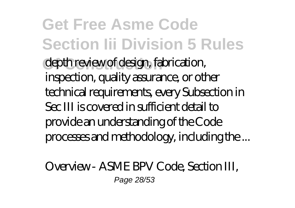**Get Free Asme Code Section Iii Division 5 Rules** depth review of design, fabrication, inspection, quality assurance, or other technical requirements, every Subsection in Sec III is covered in sufficient detail to provide an understanding of the Code processes and methodology, including the ...

*Overview - ASME BPV Code, Section III,* Page 28/53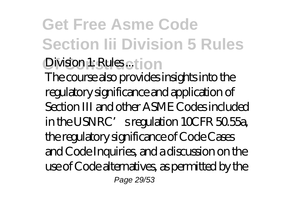## **Get Free Asme Code Section Iii Division 5 Rules**

#### **Of Construction** *Division 1: Rules ...*

The course also provides insights into the regulatory significance and application of Section III and other ASME Codes included in the USNRC's regulation 10CFR 50.55a, the regulatory significance of Code Cases and Code Inquiries, and a discussion on the use of Code alternatives, as permitted by the Page 29/53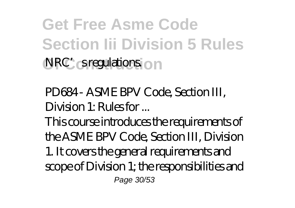**Get Free Asme Code Section Iii Division 5 Rules NRC**'s regulations. On

*PD684 - ASME BPV Code, Section III, Division 1: Rules for ...*

This course introduces the requirements of the ASME BPV Code, Section III, Division 1. It covers the general requirements and scope of Division 1; the responsibilities and Page 30/53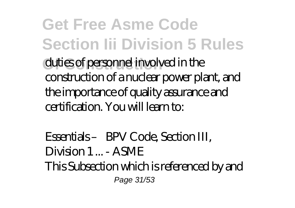**Get Free Asme Code Section Iii Division 5 Rules** duties of personnel involved in the construction of a nuclear power plant, and the importance of quality assurance and certification. You will learn to:

*Essentials – BPV Code, Section III, Division 1 ... - ASME* This Subsection which is referenced by and Page 31/53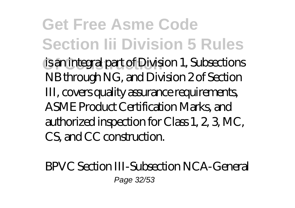**Get Free Asme Code Section Iii Division 5 Rules Of Construction** is an integral part of Division 1, Subsections NB through NG, and Division 2 of Section III, covers quality assurance requirements, ASME Product Certification Marks, and authorized inspection for Class 1, 2, 3, MC, CS, and CC construction.

*BPVC Section III-Subsection NCA-General* Page 32/53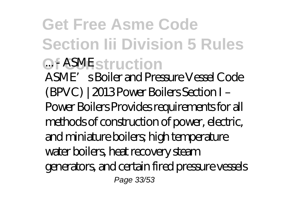#### **Get Free Asme Code Section Iii Division 5 Rules Of ASME**struction ASME's Boiler and Pressure Vessel Code (BPVC) | 2013 Power Boilers Section I – Power Boilers Provides requirements for all methods of construction of power, electric, and miniature boilers; high temperature water boilers, heat recovery steam generators, and certain fired pressure vessels

Page 33/53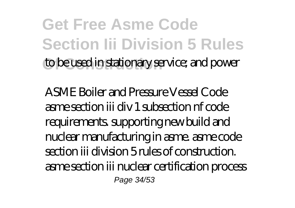**Get Free Asme Code Section Iii Division 5 Rules** to be used in stationary service; and power

*ASME Boiler and Pressure Vessel Code* asme section iii div 1 subsection nf code requirements. supporting new build and nuclear manufacturing in asme. asme code section iii division 5 rules of construction. asme section iii nuclear certification process Page 34/53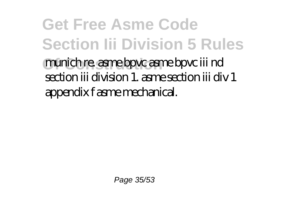**Get Free Asme Code Section Iii Division 5 Rules Of Construction** munich re. asme bpvc asme bpvc iii nd section iii division 1. asme section iii div 1 appendix f asme mechanical.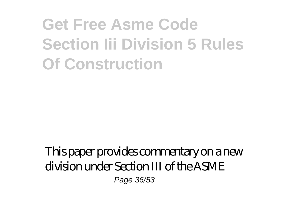### **Get Free Asme Code Section Iii Division 5 Rules Of Construction**

This paper provides commentary on a new division under Section III of the ASME Page 36/53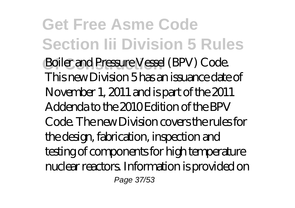**Get Free Asme Code Section Iii Division 5 Rules** Boiler and Pressure Vessel (BPV) Code. This new Division 5 has an issuance date of November 1, 2011 and is part of the 2011 Addenda to the 2010 Edition of the BPV Code. The new Division covers the rules for the design, fabrication, inspection and testing of components for high temperature nuclear reactors. Information is provided on Page 37/53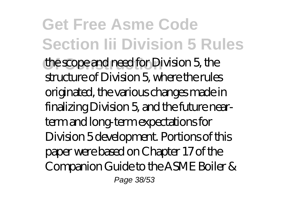**Get Free Asme Code Section Iii Division 5 Rules** the scope and need for Division 5, the structure of Division 5, where the rules originated, the various changes made in finalizing Division 5, and the future nearterm and long-term expectations for Division 5 development. Portions of this paper were based on Chapter 17 of the Companion Guide to the ASME Boiler & Page 38/53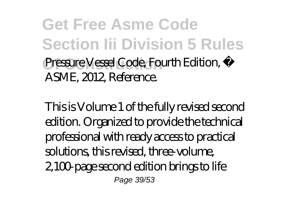**Get Free Asme Code Section Iii Division 5 Rules** Pressure Vessel Code, Fourth Edition, © ASME, 2012, Reference.

This is Volume 1 of the fully revised second edition. Organized to provide the technical professional with ready access to practical solutions, this revised, three-volume, 2,100-page second edition brings to life Page 39/53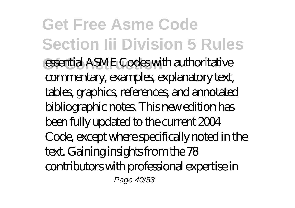#### **Get Free Asme Code Section Iii Division 5 Rules essential ASME Codes with authoritative** commentary, examples, explanatory text, tables, graphics, references, and annotated bibliographic notes. This new edition has been fully updated to the current 2004 Code, except where specifically noted in the text. Gaining insights from the 78 contributors with professional expertise in Page 40/53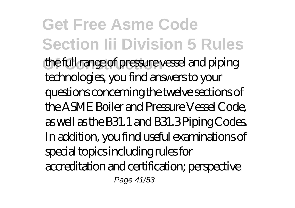**Get Free Asme Code Section Iii Division 5 Rules Of Construction** the full range of pressure vessel and piping technologies, you find answers to your questions concerning the twelve sections of the ASME Boiler and Pressure Vessel Code, as well as the B31.1 and B31.3 Piping Codes. In addition, you find useful examinations of special topics including rules for accreditation and certification; perspective Page 41/53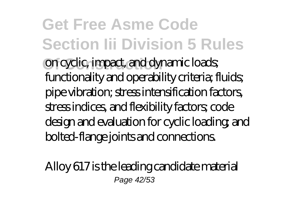**Get Free Asme Code Section Iii Division 5 Rules Of Construction** on cyclic, impact, and dynamic loads; functionality and operability criteria; fluids; pipe vibration; stress intensification factors, stress indices, and flexibility factors; code design and evaluation for cyclic loading; and bolted-flange joints and connections.

Alloy 617 is the leading candidate material Page 42/53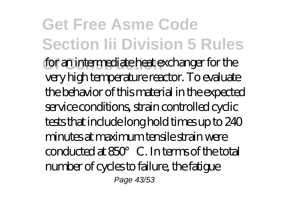**Get Free Asme Code Section Iii Division 5 Rules** for an intermediate heat exchanger for the very high temperature reactor. To evaluate the behavior of this material in the expected service conditions, strain controlled cyclic tests that include long hold times up to 240 minutes at maximum tensile strain were conducted at 850°C. In terms of the total number of cycles to failure, the fatigue Page 43/53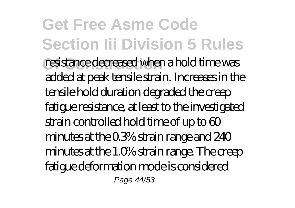**Get Free Asme Code Section Iii Division 5 Rules Of Construction** resistance decreased when a hold time was added at peak tensile strain. Increases in the tensile hold duration degraded the creep fatigue resistance, at least to the investigated strain controlled hold time of up to 60 minutes at the 0.3% strain range and 240 minutes at the 1.0% strain range. The creep fatigue deformation mode is considered Page 44/53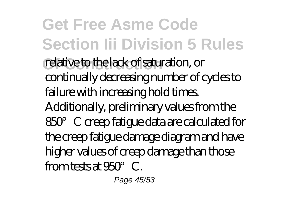**Get Free Asme Code Section Iii Division 5 Rules** relative to the lack of saturation, or continually decreasing number of cycles to failure with increasing hold times. Additionally, preliminary values from the 850°C creep fatigue data are calculated for the creep fatigue damage diagram and have higher values of creep damage than those from tests at 950°C.

Page 45/53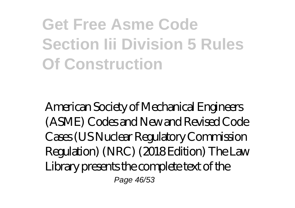### **Get Free Asme Code Section Iii Division 5 Rules Of Construction**

American Society of Mechanical Engineers (ASME) Codes and New and Revised Code Cases (US Nuclear Regulatory Commission Regulation) (NRC) (2018 Edition) The Law Library presents the complete text of the Page 46/53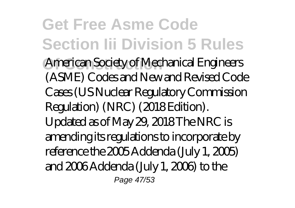### **Get Free Asme Code Section Iii Division 5 Rules**

American Society of Mechanical Engineers (ASME) Codes and New and Revised Code Cases (US Nuclear Regulatory Commission Regulation) (NRC) (2018 Edition). Updated as of May 29, 2018 The NRC is amending its regulations to incorporate by reference the 2005 Addenda (July 1, 2005) and 2006 Addenda (July 1, 2006) to the Page 47/53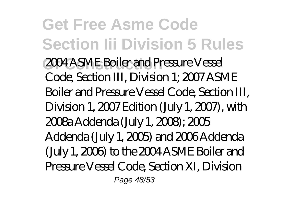**Get Free Asme Code Section Iii Division 5 Rules Of Construction** 2004 ASME Boiler and Pressure Vessel Code, Section III, Division 1; 2007 ASME Boiler and Pressure Vessel Code, Section III, Division 1, 2007 Edition (July 1, 2007), with 2008a Addenda (July 1, 2008); 2005 Addenda (July 1, 2005) and 2006 Addenda (July 1, 2006) to the 2004 ASME Boiler and Pressure Vessel Code, Section XI, Division Page 48/53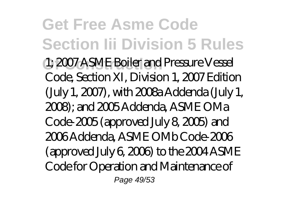**Get Free Asme Code Section Iii Division 5 Rules Of Construction** 1; 2007 ASME Boiler and Pressure Vessel Code, Section XI, Division 1, 2007 Edition (July 1, 2007), with 2008a Addenda (July 1, 2008); and 2005 Addenda, ASME OMa Code-2005 (approved July 8, 2005) and 2006 Addenda, ASME OMb Code-2006 (approved July 6, 2006) to the 2004 ASME Code for Operation and Maintenance of Page 49/53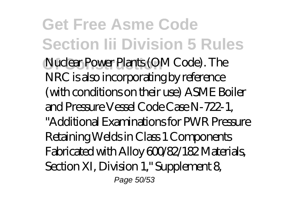**Get Free Asme Code Section Iii Division 5 Rules** Nuclear Power Plants (OM Code). The NRC is also incorporating by reference (with conditions on their use) ASME Boiler and Pressure Vessel Code Case N-722-1, "Additional Examinations for PWR Pressure Retaining Welds in Class 1 Components Fabricated with Alloy 600/82/182 Materials, Section XI, Division 1," Supplement 8, Page 50/53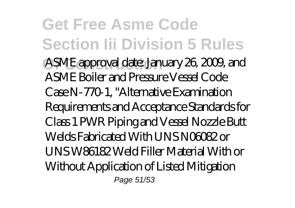**Get Free Asme Code Section Iii Division 5 Rules Of Construction** ASME approval date: January 26, 2009, and ASME Boiler and Pressure Vessel Code Case N-770-1, "Alternative Examination Requirements and Acceptance Standards for Class 1 PWR Piping and Vessel Nozzle Butt Welds Fabricated With UNS N06082 or UNS W86182 Weld Filler Material With or Without Application of Listed Mitigation Page 51/53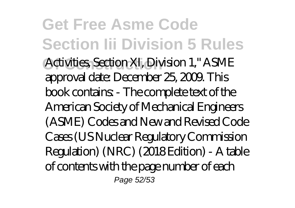**Get Free Asme Code Section Iii Division 5 Rules Of Construction** Activities, Section XI, Division 1," ASME approval date: December 25, 2009. This book contains: - The complete text of the American Society of Mechanical Engineers (ASME) Codes and New and Revised Code Cases (US Nuclear Regulatory Commission Regulation) (NRC) (2018 Edition) - A table of contents with the page number of each Page 52/53